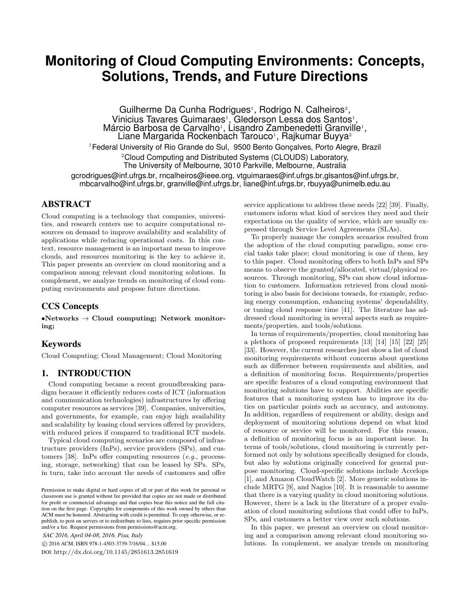# **Monitoring of Cloud Computing Environments: Concepts, Solutions, Trends, and Future Directions**

Guilherme Da Cunha Rodrigues<sup>1</sup>, Rodrigo N. Calheiros<sup>2</sup>, Vinicius Tavares Guimaraes<sup>1</sup>, Glederson Lessa dos Santos<sup>1</sup>, Márcio Barbosa de Carvalho<sup>1</sup>, Lisandro Zambenedetti Granville<sup>1</sup>, Liane Margarida Rockenbach Tarouco<sup>1</sup>, Rajkumar Buyya<sup>2</sup> <sup>1</sup>Federal University of Rio Grande do Sul, 9500 Bento Gonçalves, Porto Alegre, Brazil <sup>2</sup>Cloud Computing and Distributed Systems (CLOUDS) Laboratory, The University of Melbourne, 3010 Parkville, Melbourne, Australia gcrodrigues@inf.ufrgs.br, rncalheiros@ieee.org, vtguimaraes@inf.ufrgs.br,glsantos@inf.ufrgs.br, mbcarvalho@inf.ufrgs.br, granville@inf.ufrgs.br, liane@inf.ufrgs.br, rbuyya@unimelb.edu.au

# ABSTRACT

Cloud computing is a technology that companies, universities, and research centers use to acquire computational resources on demand to improve availability and scalability of applications while reducing operational costs. In this context, resource management is an important mean to improve clouds, and resources monitoring is the key to achieve it. This paper presents an overview on cloud monitoring and a comparison among relevant cloud monitoring solutions. In complement, we analyze trends on monitoring of cloud computing environments and propose future directions.

#### CCS Concepts

 $\bullet$ Networks  $\rightarrow$  Cloud computing; Network monitoring;

#### Keywords

Cloud Computing; Cloud Management; Cloud Monitoring

#### 1. INTRODUCTION

Cloud computing became a recent groundbreaking paradigm because it efficiently reduces costs of ICT (information and communication technologies) infrastructures by offering computer resources as services [39]. Companies, universities, and governments, for example, can enjoy high availability and scalability by leasing cloud services offered by providers, with reduced prices if compared to traditional ICT models.

Typical cloud computing scenarios are composed of infrastructure providers (InPs), service providers (SPs), and customers [38]. InPs offer computing resources (e.g., processing, storage, networking) that can be leased by SPs. SPs, in turn, take into account the needs of customers and offer

*SAC 2016, April 04-08, 2016, Pisa, Italy*

c 2016 ACM. ISBN 978-1-4503-3739-7/16/04. . . \$15.00

DOI: http://dx.doi.org/10.1145/2851613.2851619

service applications to address these needs [22] [39]. Finally, customers inform what kind of services they need and their expectations on the quality of service, which are usually expressed through Service Level Agreements (SLAs).

To properly manage the complex scenarios resulted from the adoption of the cloud computing paradigm, some crucial tasks take place; cloud monitoring is one of them, key to this paper. Cloud monitoring offers to both InPs and SPs means to observe the granted/allocated, virtual/physical resources. Through monitoring, SPs can show cloud information to customers. Information retrieved from cloud monitoring is also basis for decisions towards, for example, reducing energy consumption, enhancing systems' dependability, or tuning cloud response time [41]. The literature has addressed cloud monitoring in several aspects such as requirements/properties, and tools/solutions.

In terms of requirements/properties, cloud monitoring has a plethora of proposed requirements [13] [14] [15] [22] [25] [33]. However, the current researches just show a list of cloud monitoring requirements without concerns about questions such as difference between requirements and abilities, and a definition of monitoring focus. Requirements/properties are specific features of a cloud computing environment that monitoring solutions have to support. Abilities are specific features that a monitoring system has to improve its duties on particular points such as accuracy, and autonomy. In addition, regardless of requirement or ability, design and deployment of monitoring solutions depend on what kind of resource or service will be monitored. For this reason, a definition of monitoring focus is an important issue. In terms of tools/solutions, cloud monitoring is currently performed not only by solutions specifically designed for clouds, but also by solutions originally conceived for general purpose monitoring. Cloud-specific solutions include Accelops [1], and Amazon CloudWatch [2]. More generic solutions include MRTG [9], and Nagios [10]. It is reasonable to assume that there is a varying quality in cloud monitoring solutions. However, there is a lack in the literature of a proper evaluation of cloud monitoring solutions that could offer to InPs, SPs, and customers a better view over such solutions.

In this paper, we present an overview on cloud monitoring and a comparison among relevant cloud monitoring solutions. In complement, we analyze trends on monitoring

Permission to make digital or hard copies of all or part of this work for personal or classroom use is granted without fee provided that copies are not made or distributed for profit or commercial advantage and that copies bear this notice and the full citation on the first page. Copyrights for components of this work owned by others than ACM must be honored. Abstracting with credit is permitted. To copy otherwise, or republish, to post on servers or to redistribute to lists, requires prior specific permission and/or a fee. Request permissions from permissions@acm.org.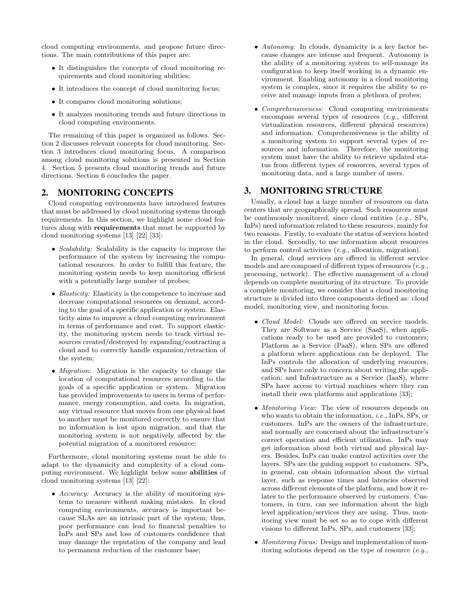cloud computing environments, and propose future directions. The main contributions of this paper are:

- It distinguishes the concepts of cloud monitoring requirements and cloud monitoring abilities;
- It introduces the concept of cloud monitoring focus;
- It compares cloud monitoring solutions;
- It analyzes monitoring trends and future directions in cloud computing environments.

The remaining of this paper is organized as follows. Section 2 discusses relevant concepts for cloud monitoring. Section 3 introduces cloud monitoring focus. A comparison among cloud monitoring solutions is presented in Section 4. Section 5 presents cloud monitoring trends and future directions. Section 6 concludes the paper.

## 2. MONITORING CONCEPTS

Cloud computing environments have introduced features that must be addressed by cloud monitoring systems through requirements. In this section, we highlight some cloud features along with requirements that must be supported by cloud monitoring systems [13] [22] [33]:

- *Scalability:* Scalability is the capacity to improve the performance of the system by increasing the computational resources. In order to fulfill this feature, the monitoring system needs to keep monitoring efficient with a potentially large number of probes;
- Elasticity: Elasticity is the competence to increase and decrease computational resources on demand, according to the goal of a specific application or system. Elasticity aims to improve a cloud computing environment in terms of performance and cost. To support elasticity, the monitoring system needs to track virtual resources created/destroyed by expanding/contracting a cloud and to correctly handle expansion/retraction of the system;
- *Migration:* Migration is the capacity to change the location of computational resources according to the goals of a specific application or system. Migration has provided improvements to users in terms of performance, energy consumption, and costs. In migration, any virtual resource that moves from one physical host to another must be monitored correctly to ensure that no information is lost upon migration, and that the monitoring system is not negatively affected by the potential migration of a monitored resource;

Furthermore, cloud monitoring systems must be able to adapt to the dynamicity and complexity of a cloud computing environment. We highlight below some abilities of cloud monitoring systems [13] [22]:

• Accuracy: Accuracy is the ability of monitoring systems to measure without making mistakes. In cloud computing environments, accuracy is important because SLAs are an intrinsic part of the system; thus, poor performance can lead to financial penalties to InPs and SPs and loss of customers confidence that may damage the reputation of the company and lead to permanent reduction of the customer base;

- Autonomy: In clouds, dynamicity is a key factor because changes are intense and frequent. Autonomy is the ability of a monitoring system to self-manage its configuration to keep itself working in a dynamic environment. Enabling autonomy in a cloud monitoring system is complex, since it requires the ability to receive and manage inputs from a plethora of probes;
- Comprehensiveness: Cloud computing environments encompass several types of resources (e.g., different virtualization resources, different physical resources) and information. Comprehensiveness is the ability of a monitoring system to support several types of resources and information. Therefore, the monitoring system must have the ability to retrieve updated status from different types of resources, several types of monitoring data, and a large number of users.

# 3. MONITORING STRUCTURE

Usually, a cloud has a large number of resources on data centers that are geographically spread. Such resources must be continuously monitored, since cloud entities  $(e.a., SPs,$ InPs) need information related to these resources, mainly for two reasons. Firstly, to evaluate the status of services hosted in the cloud. Secondly, to use information about resources to perform control activities (e.g., allocation, migration).

In general, cloud services are offered in different service models and are composed of different types of resources (e.g., processing, network). The effective management of a cloud depends on complete monitoring of its structure. To provide a complete monitoring, we consider that a cloud monitoring structure is divided into three components defined as: cloud model, monitoring view, and monitoring focus.

- Cloud Model: Clouds are offered on service models. They are Software as a Service (SaaS), when applications ready to be used are provided to customers; Platform as a Service (PaaS), when SPs are offered a platform where applications can be deployed. The InPs controls the allocation of underlying resources, and SPs have only to concern about writing the application; and Infrastructure as a Service (IaaS), where SPs have access to virtual machines where they can install their own platforms and applications [33];
- *Monitoring View:* The view of resources depends on who wants to obtain the information, i.e., InPs, SPs, or customers. InPs are the owners of the infrastructure, and normally are concerned about the infrastructure's correct operation and efficient utilization. InPs may get information about both virtual and physical layers. Besides, InPs can make control activities over the layers. SPs are the guiding support to customers. SPs, in general, can obtain information about the virtual layer, such as response times and latencies observed across different elements of the platform, and how it relates to the performance observed by customers. Customers, in turn, can see information about the high level application/services they are using. Thus, monitoring view must be set so as to cope with different visions to different InPs, SPs, and customers [33];
- Monitoring Focus: Design and implementation of monitoring solutions depend on the type of resource (e.g.,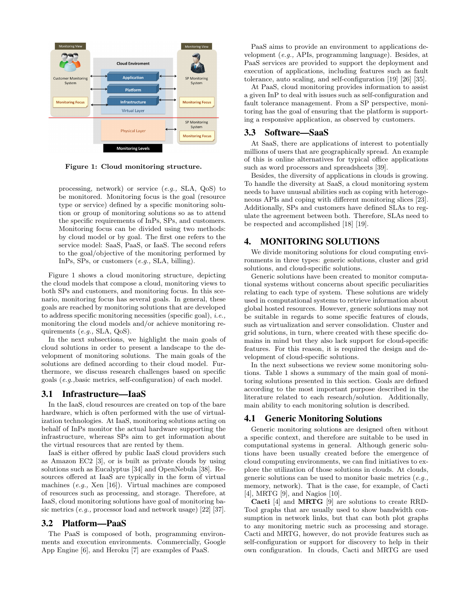

Figure 1: Cloud monitoring structure.

processing, network) or service (e.g., SLA, QoS) to be monitored. Monitoring focus is the goal (resource type or service) defined by a specific monitoring solution or group of monitoring solutions so as to attend the specific requirements of InPs, SPs, and customers. Monitoring focus can be divided using two methods: by cloud model or by goal. The first one refers to the service model: SaaS, PaaS, or IaaS. The second refers to the goal/objective of the monitoring performed by InPs, SPs, or customers (e.g., SLA, billing).

Figure 1 shows a cloud monitoring structure, depicting the cloud models that compose a cloud, monitoring views to both SPs and customers, and monitoring focus. In this scenario, monitoring focus has several goals. In general, these goals are reached by monitoring solutions that are developed to address specific monitoring necessities (specific goal), *i.e.*, monitoring the cloud models and/or achieve monitoring requirements (e.g., SLA, QoS).

In the next subsections, we highlight the main goals of cloud solutions in order to present a landscape to the development of monitoring solutions. The main goals of the solutions are defined according to their cloud model. Furthermore, we discuss research challenges based on specific goals (e.g.,basic metrics, self-configuration) of each model.

#### 3.1 Infrastructure—IaaS

In the IaaS, cloud resources are created on top of the bare hardware, which is often performed with the use of virtualization technologies. At IaaS, monitoring solutions acting on behalf of InPs monitor the actual hardware supporting the infrastructure, whereas SPs aim to get information about the virtual resources that are rented by them.

IaaS is either offered by public IaaS cloud providers such as Amazon EC2 [3], or is built as private clouds by using solutions such as Eucalyptus [34] and OpenNebula [38]. Resources offered at IaaS are typically in the form of virtual machines (e.g., Xen [16]). Virtual machines are composed of resources such as processing, and storage. Therefore, at IaaS, cloud monitoring solutions have goal of monitoring basic metrics (e.g., processor load and network usage) [22] [37].

## 3.2 Platform—PaaS

The PaaS is composed of both, programming environments and execution environments. Commercially, Google App Engine [6], and Heroku [7] are examples of PaaS.

PaaS aims to provide an environment to applications development (e.g., APIs, programming language). Besides, at PaaS services are provided to support the deployment and execution of applications, including features such as fault tolerance, auto scaling, and self-configuration [19] [26] [35].

At PaaS, cloud monitoring provides information to assist a given InP to deal with issues such as self-configuration and fault tolerance management. From a SP perspective, monitoring has the goal of ensuring that the platform is supporting a responsive application, as observed by customers.

# 3.3 Software—SaaS

At SaaS, there are applications of interest to potentially millions of users that are geographically spread. An example of this is online alternatives for typical office applications such as word processors and spreadsheets [39].

Besides, the diversity of applications in clouds is growing. To handle the diversity at SaaS, a cloud monitoring system needs to have unusual abilities such as coping with heterogeneous APIs and coping with different monitoring slices [23]. Additionally, SPs and customers have defined SLAs to regulate the agreement between both. Therefore, SLAs need to be respected and accomplished [18] [19].

# 4. MONITORING SOLUTIONS

We divide monitoring solutions for cloud computing environments in three types: generic solutions, cluster and grid solutions, and cloud-specific solutions.

Generic solutions have been created to monitor computational systems without concerns about specific peculiarities relating to each type of system. These solutions are widely used in computational systems to retrieve information about global hosted resources. However, generic solutions may not be suitable in regards to some specific features of clouds, such as virtualization and server consolidation. Cluster and grid solutions, in turn, where created with these specific domains in mind but they also lack support for cloud-specific features. For this reason, it is required the design and development of cloud-specific solutions.

In the next subsections we review some monitoring solutions. Table 1 shows a summary of the main goal of monitoring solutions presented in this section. Goals are defined according to the most important purpose described in the literature related to each research/solution. Additionally, main ability to each monitoring solution is described.

## 4.1 Generic Monitoring Solutions

Generic monitoring solutions are designed often without a specific context, and therefore are suitable to be used in computational systems in general. Although generic solutions have been usually created before the emergence of cloud computing environments, we can find initiatives to explore the utilization of those solutions in clouds. At clouds, generic solutions can be used to monitor basic metrics (e.g., memory, network). That is the case, for example, of Cacti [4], MRTG [9], and Nagios [10].

Cacti [4] and MRTG [9] are solutions to create RRD-Tool graphs that are usually used to show bandwidth consumption in network links, but that can both plot graphs to any monitoring metric such as processing and storage. Cacti and MRTG, however, do not provide features such as self-configuration or support for discovery to help in their own configuration. In clouds, Cacti and MRTG are used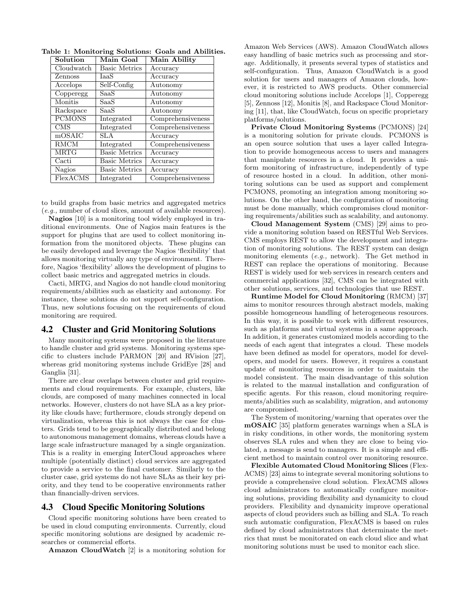| Solution            | Main Goal            | Main Ability      |
|---------------------|----------------------|-------------------|
| Cloudwatch          | <b>Basic Metrics</b> | Accuracy          |
| Zennoss             | <b>IaaS</b>          | Accuracy          |
| Accelops            | Self-Config          | Autonomy          |
| Copperegg           | SaaS                 | Autonomy          |
| Monitis             | SaaS                 | Autonomy          |
| Rackspace           | SaaS                 | Autonomy          |
| <b>PCMONS</b>       | Integrated           | Comprehensiveness |
| <b>CMS</b>          | Integrated           | Comprehensiveness |
| $mOSA\overline{IC}$ | SLA                  | Accuracy          |
| <b>RMCM</b>         | Integrated           | Comprehensiveness |
| <b>MRTG</b>         | <b>Basic Metrics</b> | Accuracy          |
| Cacti               | <b>Basic Metrics</b> | Accuracy          |
| <b>Nagios</b>       | <b>Basic Metrics</b> | Accuracy          |
| FlexACMS            | Integrated           | Comprehensiveness |

Table 1: Monitoring Solutions: Goals and Abilities.

to build graphs from basic metrics and aggregated metrics (e.g., number of cloud slices, amount of available resources).

Nagios [10] is a monitoring tool widely employed in traditional environments. One of Nagios main features is the support for plugins that are used to collect monitoring information from the monitored objects. These plugins can be easily developed and leverage the Nagios 'flexibility' that allows monitoring virtually any type of environment. Therefore, Nagios 'flexibility' allows the development of plugins to collect basic metrics and aggregated metrics in clouds.

Cacti, MRTG, and Nagios do not handle cloud monitoring requirements/abilities such as elasticity and autonomy. For instance, these solutions do not support self-configuration. Thus, new solutions focusing on the requirements of cloud monitoring are required.

#### 4.2 Cluster and Grid Monitoring Solutions

Many monitoring systems were proposed in the literature to handle cluster and grid systems. Monitoring systems specific to clusters include PARMON [20] and RVision [27], whereas grid monitoring systems include GridEye [28] and Ganglia [31].

There are clear overlaps between cluster and grid requirements and cloud requirements. For example, clusters, like clouds, are composed of many machines connected in local networks. However, clusters do not have SLA as a key priority like clouds have; furthermore, clouds strongly depend on virtualization, whereas this is not always the case for clusters. Grids tend to be geographically distributed and belong to autonomous management domains, whereas clouds have a large scale infrastructure managed by a single organization. This is a reality in emerging InterCloud approaches where multiple (potentially distinct) cloud services are aggregated to provide a service to the final customer. Similarly to the cluster case, grid systems do not have SLAs as their key priority, and they tend to be cooperative environments rather than financially-driven services.

#### 4.3 Cloud Specific Monitoring Solutions

Cloud specific monitoring solutions have been created to be used in cloud computing environments. Currently, cloud specific monitoring solutions are designed by academic researches or commercial efforts.

Amazon CloudWatch [2] is a monitoring solution for

Amazon Web Services (AWS). Amazon CloudWatch allows easy handling of basic metrics such as processing and storage. Additionally, it presents several types of statistics and self-configuration. Thus, Amazon CloudWatch is a good solution for users and managers of Amazon clouds, however, it is restricted to AWS products. Other commercial cloud monitoring solutions include Accelops [1], Copperegg [5], Zennoss [12], Monitis [8], and Rackspace Cloud Monitoring [11], that, like CloudWatch, focus on specific proprietary platforms/solutions.

Private Cloud Monitoring Systems (PCMONS) [24] is a monitoring solution for private clouds. PCMONS is an open source solution that uses a layer called Integration to provide homogeneous access to users and managers that manipulate resources in a cloud. It provides a uniform monitoring of infrastructure, independently of type of resource hosted in a cloud. In addition, other monitoring solutions can be used as support and complement PCMONS, promoting an integration among monitoring solutions. On the other hand, the configuration of monitoring must be done manually, which compromises cloud monitoring requirements/abilities such as scalability, and autonomy.

Cloud Management System (CMS) [29] aims to provide a monitoring solution based on RESTful Web Services. CMS employs REST to allow the development and integration of monitoring solutions. The REST system can design monitoring elements (e.g., network). The Get method in REST can replace the operations of monitoring. Because REST is widely used for web services in research centers and commercial applications [32], CMS can be integrated with other solutions, services, and technologies that use REST.

Runtime Model for Cloud Monitoring (RMCM) [37] aims to monitor resources through abstract models, making possible homogeneous handling of heterogeneous resources. In this way, it is possible to work with different resources, such as platforms and virtual systems in a same approach. In addition, it generates customized models according to the needs of each agent that integrates a cloud. These models have been defined as model for operators, model for developers, and model for users. However, it requires a constant update of monitoring resources in order to maintain the model consistent. The main disadvantage of this solution is related to the manual installation and configuration of specific agents. For this reason, cloud monitoring requirements/abilities such as scalability, migration, and autonomy are compromised.

The System of monitoring/warning that operates over the mOSAIC [35] platform generates warnings when a SLA is in risky conditions, in other words, the monitoring system observes SLA rules and when they are close to being violated, a message is send to managers. It is a simple and efficient method to maintain control over monitoring resource.

Flexible Automated Cloud Monitoring Slices (Flex-ACMS) [23] aims to integrate several monitoring solutions to provide a comprehensive cloud solution. FlexACMS allows cloud administrators to automatically configure monitoring solutions, providing flexibility and dynamicity to cloud providers. Flexibility and dynamicity improve operational aspects of cloud providers such as billing and SLA. To reach such automatic configuration, FlexACMS is based on rules defined by cloud administrators that determinate the metrics that must be monitorated on each cloud slice and what monitoring solutions must be used to monitor each slice.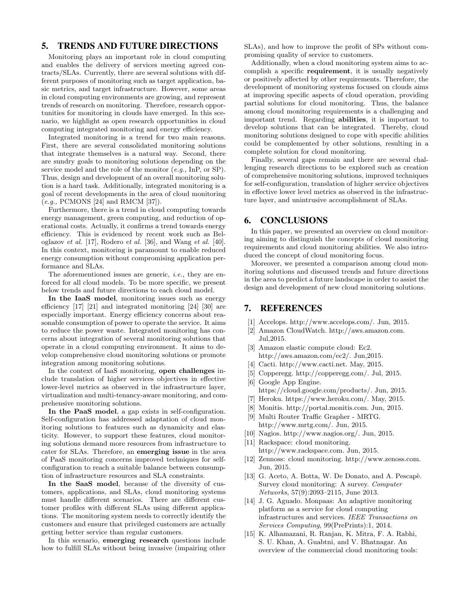# 5. TRENDS AND FUTURE DIRECTIONS

Monitoring plays an important role in cloud computing and enables the delivery of services meeting agreed contracts/SLAs. Currently, there are several solutions with different purposes of monitoring such as target application, basic metrics, and target infrastructure. However, some areas in cloud computing environments are growing, and represent trends of research on monitoring. Therefore, research opportunities for monitoring in clouds have emerged. In this scenario, we highlight as open research opportunities in cloud computing integrated monitoring and energy efficiency.

Integrated monitoring is a trend for two main reasons. First, there are several consolidated monitoring solutions that integrate themselves is a natural way. Second, there are sundry goals to monitoring solutions depending on the service model and the role of the monitor  $(e.g., \text{ InP, or SP}).$ Thus, design and development of an overall monitoring solution is a hard task. Additionally, integrated monitoring is a goal of recent developments in the area of cloud monitoring (e.g., PCMONS [24] and RMCM [37]).

Furthermore, there is a trend in cloud computing towards energy management, green computing, and reduction of operational costs. Actually, it confirms a trend towards energy efficiency. This is evidenced by recent work such as Beloglazov et al.  $[17]$ , Rodero et al.  $[36]$ , and Wang et al.  $[40]$ . In this context, monitoring is paramount to enable reduced energy consumption without compromising application performance and SLAs.

The aforementioned issues are generic, *i.e.*, they are enforced for all cloud models. To be more specific, we present below trends and future directions to each cloud model.

In the IaaS model, monitoring issues such as energy efficiency [17] [21] and integrated monitoring [24] [30] are especially important. Energy efficiency concerns about reasonable consumption of power to operate the service. It aims to reduce the power waste. Integrated monitoring has concerns about integration of several monitoring solutions that operate in a cloud computing environment. It aims to develop comprehensive cloud monitoring solutions or promote integration among monitoring solutions.

In the context of IaaS monitoring, open challenges include translation of higher services objectives in effective lower-level metrics as observed in the infrastructure layer, virtualization and multi-tenancy-aware monitoring, and comprehensive monitoring solutions.

In the PaaS model, a gap exists in self-configuration. Self-configuration has addressed adaptation of cloud monitoring solutions to features such as dynamicity and elasticity. However, to support these features, cloud monitoring solutions demand more resources from infrastructure to cater for SLAs. Therefore, an emerging issue in the area of PaaS monitoring concerns improved techniques for selfconfiguration to reach a suitable balance between consumption of infrastructure resources and SLA constraints.

In the SaaS model, because of the diversity of customers, applications, and SLAs, cloud monitoring systems must handle different scenarios. There are different customer profiles with different SLAs using different applications. The monitoring system needs to correctly identify the customers and ensure that privileged customers are actually getting better service than regular customers.

In this scenario, emerging research questions include how to fulfill SLAs without being invasive (impairing other SLAs), and how to improve the profit of SPs without compromising quality of service to customers.

Additionally, when a cloud monitoring system aims to accomplish a specific requirement, it is usually negatively or positively affected by other requirements. Therefore, the development of monitoring systems focused on clouds aims at improving specific aspects of cloud operation, providing partial solutions for cloud monitoring. Thus, the balance among cloud monitoring requirements is a challenging and important trend. Regarding abilities, it is important to develop solutions that can be integrated. Thereby, cloud monitoring solutions designed to cope with specific abilities could be complemented by other solutions, resulting in a complete solution for cloud monitoring.

Finally, several gaps remain and there are several challenging research directions to be explored such as creation of comprehensive monitoring solutions, improved techniques for self-configuration, translation of higher service objectives in effective lower level metrics as observed in the infrastructure layer, and unintrusive accomplishment of SLAs.

# 6. CONCLUSIONS

In this paper, we presented an overview on cloud monitoring aiming to distinguish the concepts of cloud monitoring requirements and cloud monitoring abilities. We also introduced the concept of cloud monitoring focus.

Moreover, we presented a comparison among cloud monitoring solutions and discussed trends and future directions in the area to predict a future landscape in order to assist the design and development of new cloud monitoring solutions.

# 7. REFERENCES

- [1] Accelops. http://www.accelops.com/. Jun, 2015.
- [2] Amazon CloudWatch. http://aws.amazon.com. Jul,2015.
- [3] Amazon elastic compute cloud: Ec2. http://aws.amazon.com/ec2/. Jun,2015.
- [4] Cacti. http://www.cacti.net. May, 2015.
- [5] Copperegg. http://copperegg.com/. Jul, 2015.
- [6] Google App Engine. https://cloud.google.com/products/. Jun, 2015.
- [7] Heroku. https://www.heroku.com/. May, 2015.
- [8] Monitis. http://portal.monitis.com. Jun, 2015.
- [9] Multi Router Traffic Grapher MRTG. http://www.mrtg.com/. Jun, 2015.
- [10] Nagios. http://www.nagios.org/. Jun, 2015.
- [11] Rackspace: cloud monitoring. http://www.rackspace.com. Jun, 2015.
- [12] Zennoss: cloud monitoring. http://www.zenoss.com. Jun, 2015.
- [13] G. Aceto, A. Botta, W. De Donato, and A. Pescapè. Survey cloud monitoring: A survey. Computer Networks, 57(9):2093–2115, June 2013.
- [14] J. G. Aguado. Monpaas: An adaptive monitoring platform as a service for cloud computing infrastructures and services. IEEE Transactions on Services Computing, 99(PrePrints):1, 2014.
- [15] K. Alhamazani, R. Ranjan, K. Mitra, F. A. Rabhi, S. U. Khan, A. Guabtni, and V. Bhatnagar. An overview of the commercial cloud monitoring tools: